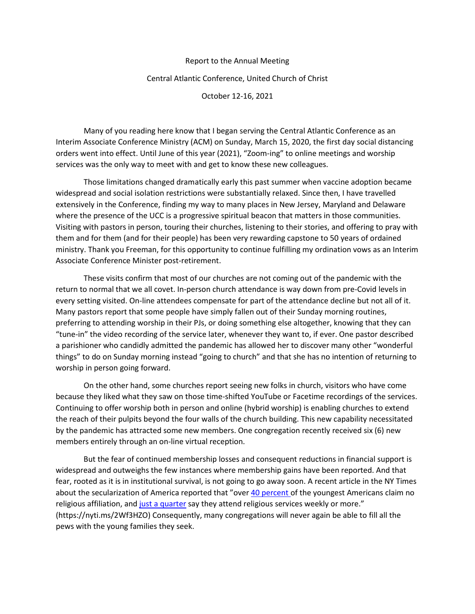## Report to the Annual Meeting

## Central Atlantic Conference, United Church of Christ

October 12-16, 2021

Many of you reading here know that I began serving the Central Atlantic Conference as an Interim Associate Conference Ministry (ACM) on Sunday, March 15, 2020, the first day social distancing orders went into effect. Until June of this year (2021), "Zoom-ing" to online meetings and worship services was the only way to meet with and get to know these new colleagues.

Those limitations changed dramatically early this past summer when vaccine adoption became widespread and social isolation restrictions were substantially relaxed. Since then, I have travelled extensively in the Conference, finding my way to many places in New Jersey, Maryland and Delaware where the presence of the UCC is a progressive spiritual beacon that matters in those communities. Visiting with pastors in person, touring their churches, listening to their stories, and offering to pray with them and for them (and for their people) has been very rewarding capstone to 50 years of ordained ministry. Thank you Freeman, for this opportunity to continue fulfilling my ordination vows as an Interim Associate Conference Minister post-retirement.

These visits confirm that most of our churches are not coming out of the pandemic with the return to normal that we all covet. In-person church attendance is way down from pre-Covid levels in every setting visited. On-line attendees compensate for part of the attendance decline but not all of it. Many pastors report that some people have simply fallen out of their Sunday morning routines, preferring to attending worship in their PJs, or doing something else altogether, knowing that they can "tune-in" the video recording of the service later, whenever they want to, if ever. One pastor described a parishioner who candidly admitted the pandemic has allowed her to discover many other "wonderful things" to do on Sunday morning instead "going to church" and that she has no intention of returning to worship in person going forward.

On the other hand, some churches report seeing new folks in church, visitors who have come because they liked what they saw on those time-shifted YouTube or Facetime recordings of the services. Continuing to offer worship both in person and online (hybrid worship) is enabling churches to extend the reach of their pulpits beyond the four walls of the church building. This new capability necessitated by the pandemic has attracted some new members. One congregation recently received six (6) new members entirely through an on-line virtual reception.

But the fear of continued membership losses and consequent reductions in financial support is widespread and outweighs the few instances where membership gains have been reported. And that fear, rooted as it is in institutional survival, is not going to go away soon. A recent article in the NY Times about the secularization of America reported that "ove[r 40 percent o](https://www.deseret.com/indepth/2020/3/1/21156465/millennial-faith-religion-generation-z-research-trends-nones-church-attendance)f the youngest Americans claim no religious affiliation, an[d just a quarter](https://religioninpublic.blog/2020/02/10/generation-z-and-religion-what-new-data-show/) say they attend religious services weekly or more." (https://nyti.ms/2Wf3HZO) Consequently, many congregations will never again be able to fill all the pews with the young families they seek.